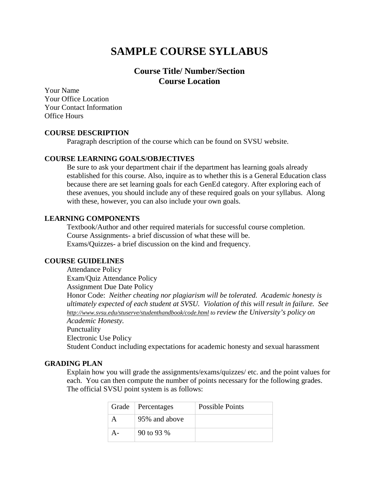# **SAMPLE COURSE SYLLABUS**

# **Course Title/ Number/Section Course Location**

Your Name Your Office Location Your Contact Information Office Hours

#### **COURSE DESCRIPTION**

Paragraph description of the course which can be found on SVSU website.

#### **COURSE LEARNING GOALS/OBJECTIVES**

Be sure to ask your department chair if the department has learning goals already established for this course. Also, inquire as to whether this is a General Education class because there are set learning goals for each GenEd category. After exploring each of these avenues, you should include any of these required goals on your syllabus. Along with these, however, you can also include your own goals.

#### **LEARNING COMPONENTS**

Textbook/Author and other required materials for successful course completion. Course Assignments- a brief discussion of what these will be. Exams/Quizzes- a brief discussion on the kind and frequency.

# **COURSE GUIDELINES**

Attendance Policy Exam/Quiz Attendance Policy Assignment Due Date Policy Honor Code: *Neither cheating nor plagiarism will be tolerated. Academic honesty is ultimately expected of each student at SVSU. Violation of this will result in failure. See <http://www.svsu.edu/stuserve/studenthandbook/code.html> to review the University's policy on Academic Honesty.* Punctuality Electronic Use Policy Student Conduct including expectations for academic honesty and sexual harassment

#### **GRADING PLAN**

Explain how you will grade the assignments/exams/quizzes/ etc. and the point values for each. You can then compute the number of points necessary for the following grades. The official SVSU point system is as follows:

| Grade   Percentages | Possible Points |
|---------------------|-----------------|
| 95% and above       |                 |
| 90 to 93 %          |                 |